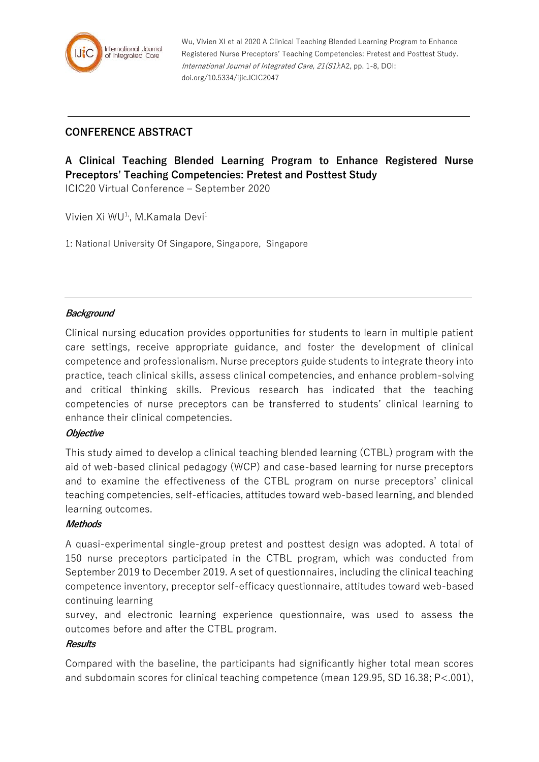

Wu, Vivien XI et al 2020 A Clinical Teaching Blended Learning Program to Enhance Registered Nurse Preceptors' Teaching Competencies: Pretest and Posttest Study. International Journal of Integrated Care, 21(S1):A2, pp. 1-8, DOI: doi.org/10.5334/ijic.ICIC2047

## **CONFERENCE ABSTRACT**

# **A Clinical Teaching Blended Learning Program to Enhance Registered Nurse Preceptors' Teaching Competencies: Pretest and Posttest Study**

ICIC20 Virtual Conference – September 2020

Vivien Xi WU<sup>1,</sup>, M.Kamala Devi<sup>1</sup>

1: National University Of Singapore, Singapore, Singapore

#### **Background**

Clinical nursing education provides opportunities for students to learn in multiple patient care settings, receive appropriate guidance, and foster the development of clinical competence and professionalism. Nurse preceptors guide students to integrate theory into practice, teach clinical skills, assess clinical competencies, and enhance problem-solving and critical thinking skills. Previous research has indicated that the teaching competencies of nurse preceptors can be transferred to students' clinical learning to enhance their clinical competencies.

#### **Objective**

This study aimed to develop a clinical teaching blended learning (CTBL) program with the aid of web-based clinical pedagogy (WCP) and case-based learning for nurse preceptors and to examine the effectiveness of the CTBL program on nurse preceptors' clinical teaching competencies, self-efficacies, attitudes toward web-based learning, and blended learning outcomes.

#### **Methods**

A quasi-experimental single-group pretest and posttest design was adopted. A total of 150 nurse preceptors participated in the CTBL program, which was conducted from September 2019 to December 2019. A set of questionnaires, including the clinical teaching competence inventory, preceptor self-efficacy questionnaire, attitudes toward web-based continuing learning

survey, and electronic learning experience questionnaire, was used to assess the outcomes before and after the CTBL program.

### **Results**

Compared with the baseline, the participants had significantly higher total mean scores and subdomain scores for clinical teaching competence (mean 129.95, SD 16.38; P<.001),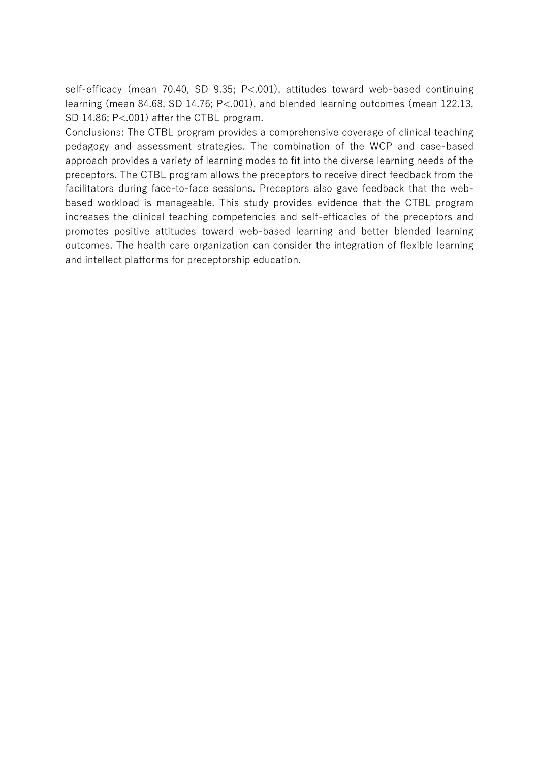self-efficacy (mean 70.40, SD 9.35; P<.001), attitudes toward web-based continuing learning (mean 84.68, SD 14.76; P<.001), and blended learning outcomes (mean 122.13, SD 14.86; P<.001) after the CTBL program.

Conclusions: The CTBL program provides a comprehensive coverage of clinical teaching pedagogy and assessment strategies. The combination of the WCP and case-based approach provides a variety of learning modes to fit into the diverse learning needs of the preceptors. The CTBL program allows the preceptors to receive direct feedback from the facilitators during face-to-face sessions. Preceptors also gave feedback that the webbased workload is manageable. This study provides evidence that the CTBL program increases the clinical teaching competencies and self-efficacies of the preceptors and promotes positive attitudes toward web-based learning and better blended learning outcomes. The health care organization can consider the integration of flexible learning and intellect platforms for preceptorship education.